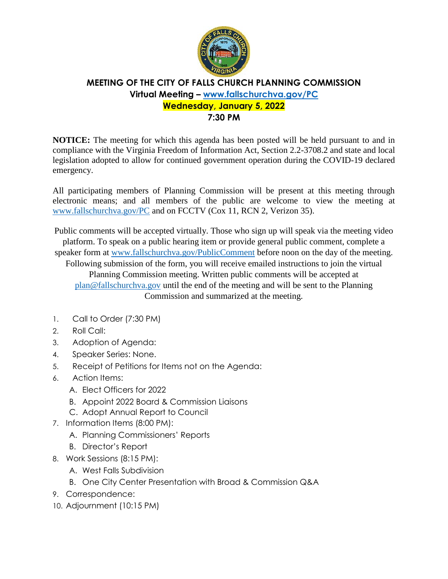

## **MEETING OF THE CITY OF FALLS CHURCH PLANNING COMMISSION Virtual Meeting – [www.fallschurchva.gov/PC](http://www.fallschurchva.gov/PC) Wednesday, January 5, 2022**

**7:30 PM**

**NOTICE:** The meeting for which this agenda has been posted will be held pursuant to and in compliance with the Virginia Freedom of Information Act, Section 2.2-3708.2 and state and local legislation adopted to allow for continued government operation during the COVID-19 declared emergency.

All participating members of Planning Commission will be present at this meeting through electronic means; and all members of the public are welcome to view the meeting at [www.fallschurchva.gov/PC](http://www.fallschurchva.gov/PC) and on FCCTV (Cox 11, RCN 2, Verizon 35).

Public comments will be accepted virtually. Those who sign up will speak via the meeting video platform. To speak on a public hearing item or provide general public comment, complete a

speaker form at [www.fallschurchva.gov/PublicComment](http://www.fallschurchva.gov/PublicComment) before noon on the day of the meeting.

Following submission of the form, you will receive emailed instructions to join the virtual Planning Commission meeting. Written public comments will be accepted at [plan@fallschurchva.gov](mailto:plan@fallschurchva.gov) until the end of the meeting and will be sent to the Planning Commission and summarized at the meeting.

- 1. Call to Order (7:30 PM)
- 2. Roll Call:
- 3. Adoption of Agenda:
- 4. Speaker Series: None.
- 5. Receipt of Petitions for Items not on the Agenda:
- 6. Action Items:
	- A. Elect Officers for 2022
	- B. Appoint 2022 Board & Commission Liaisons
	- C. Adopt Annual Report to Council
- 7. Information Items (8:00 PM):
	- A. Planning Commissioners' Reports
	- B. Director's Report
- 8. Work Sessions (8:15 PM):
	- A. West Falls Subdivision
	- B. One City Center Presentation with Broad & Commission Q&A
- 9. Correspondence:
- 10. Adjournment (10:15 PM)